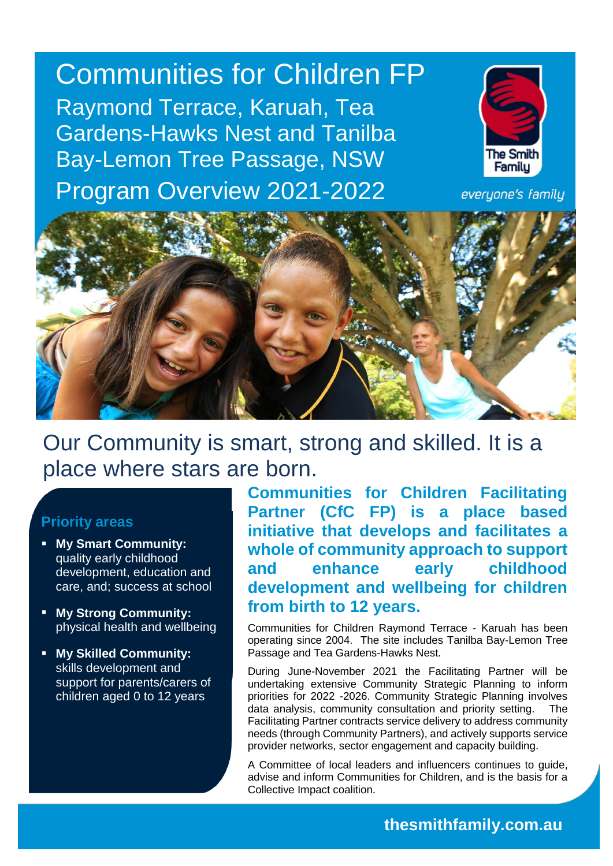Communities for Children FP Raymond Terrace, Karuah, Tea Gardens-Hawks Nest and Tanilba Bay-Lemon Tree Passage, NSW Program Overview 2021-2022



everyone's family



Our Community is smart, strong and skilled. It is a place where stars are born.

### **Priority areas**

- **My Smart Community:**  quality early childhood development, education and care, and; success at school
- **My Strong Community:** physical health and wellbeing
- **My Skilled Community:**  skills development and support for parents/carers of children aged 0 to 12 years

**Communities for Children Facilitating Partner (CfC FP) is a place based initiative that develops and facilitates a whole of community approach to support and enhance early childhood development and wellbeing for children from birth to 12 years.**

Communities for Children Raymond Terrace - Karuah has been operating since 2004. The site includes Tanilba Bay-Lemon Tree Passage and Tea Gardens-Hawks Nest.

During June-November 2021 the Facilitating Partner will be undertaking extensive Community Strategic Planning to inform priorities for 2022 -2026. Community Strategic Planning involves data analysis, community consultation and priority setting. The Facilitating Partner contracts service delivery to address community needs (through Community Partners), and actively supports service provider networks, sector engagement and capacity building.

A Committee of local leaders and influencers continues to guide, advise and inform Communities for Children, and is the basis for a Collective Impact coalition.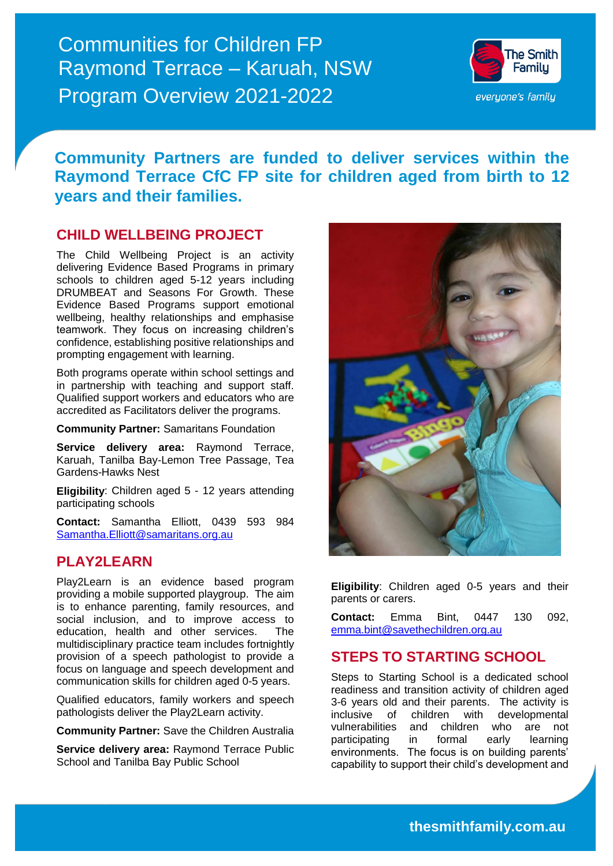Communities for Children FP Raymond Terrace – Karuah, NSW Program Overview 2021-2022



## **Community Partners are funded to deliver services within the Raymond Terrace CfC FP site for children aged from birth to 12 years and their families.**

### **CHILD WELLBEING PROJECT**

The Child Wellbeing Project is an activity delivering Evidence Based Programs in primary schools to children aged 5-12 years including DRUMBEAT and Seasons For Growth. These Evidence Based Programs support emotional wellbeing, healthy relationships and emphasise teamwork. They focus on increasing children's confidence, establishing positive relationships and prompting engagement with learning.

Both programs operate within school settings and in partnership with teaching and support staff. Qualified support workers and educators who are accredited as Facilitators deliver the programs.

**Community Partner:** Samaritans Foundation

**Service delivery area:** Raymond Terrace, Karuah, Tanilba Bay-Lemon Tree Passage, Tea Gardens-Hawks Nest

**Eligibility**: Children aged 5 - 12 years attending participating schools

**Contact:** Samantha Elliott, 0439 593 984 [Samantha.Elliott@samaritans.org.au](mailto:Samantha.Elliott@samaritans.org.au) 

### **PLAY2LEARN**

Play2Learn is an evidence based program providing a mobile supported playgroup. The aim is to enhance parenting, family resources, and social inclusion, and to improve access to education, health and other services. The multidisciplinary practice team includes fortnightly provision of a speech pathologist to provide a focus on language and speech development and communication skills for children aged 0-5 years.

Qualified educators, family workers and speech pathologists deliver the Play2Learn activity.

**Community Partner:** Save the Children Australia

**Service delivery area:** Raymond Terrace Public School and Tanilba Bay Public School

**Facilitating Partner is funded by the Australian Government and facilitated by The Smith Family**



**Eligibility**: Children aged 0-5 years and their parents or carers.

**Contact:** Emma Bint, 0447 130 092, [emma.bint@savethechildren.org.au](mailto:emma.bint@savethechildren.org.au)

### **STEPS TO STARTING SCHOOL**

Steps to Starting School is a dedicated school readiness and transition activity of children aged 3-6 years old and their parents. The activity is inclusive of children with developmental vulnerabilities and children who are not participating in formal early learning environments. The focus is on building parents' capability to support their child's development and